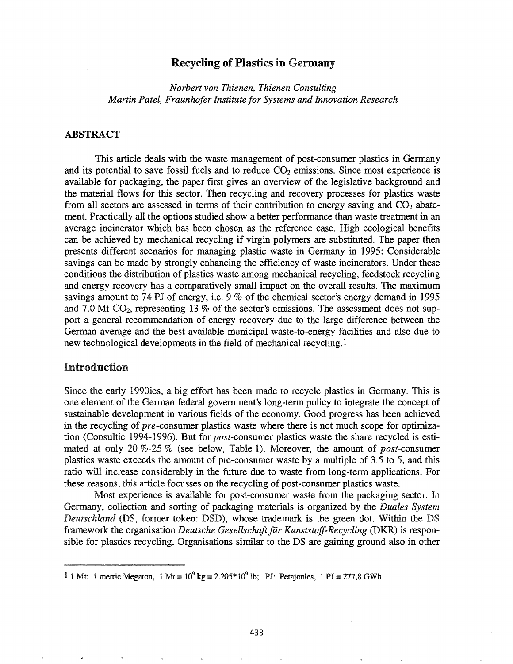# Recycling of Plastics in Germany

*Norbert von Thienen, Thienen Consulting Martin Patel, Fraunhofer Institute for Systems and Innovation Research*

#### ABSTRACT

This article deals with the waste management of post-consumer plastics in Germany and its potential to save fossil fuels and to reduce  $CO<sub>2</sub>$  emissions. Since most experience is available for packaging, the paper first gives an overview of the legislative background and the material flows for this sector. Then recycling and recovery processes for plastics waste from all sectors are assessed in terms of their contribution to energy saving and  $CO<sub>2</sub>$  abatement. Practically all the options studied show a better performance than waste treatment in an average incinerator which has been chosen as the reference case. High ecological benefits can be achieved by mechanical recycling if virgin polymers are substituted. The paper then presents different scenarios for managing plastic waste in Germany in 1995: Considerable savings can be made by strongly enhancing the efficiency of waste incinerators. Under these conditions the distribution of plastics waste among mechanical recycling, feedstock recycling and energy recovery has a comparatively small impact on the overall results. The maximum savings amount to 74 PJ of energy, i.e. 9 % of the chemical sector's energy demand in 1995 and 7.0 Mt  $CO<sub>2</sub>$ , representing 13 % of the sector's emissions. The assessment does not support a general recommendation of energy recovery due to' the large difference between the German average and the best available municipal waste-to-energy facilities and also due to new technological developments in the field of mechanical recycling. l

### Introduction

Since the early 1990ies, a big effort has been made to recycle plastics in Germany. This is one element of the German federal government's long-term policy to integrate the concept of sustainable development in various fields of the economy. Good progress has been achieved in the recycling of *pre-consumer* plastics waste where there is not much scope for optimization (Consultic 1994-1996). But for *post-consumer* plastics waste the share recycled is estimated at only 20 %-25 % (see below, Table 1). Moreover, the amount of *post-consumer* plastics waste exceeds the amount of pre-consumer waste by a multiple of 3.5 to 5, and this ratio will increase considerably in the future due to waste from long-term applications. For these reasons, this article focusses on the recycling of post-consumer plastics waste.

Most experience is available for post-consumer waste from the packaging sector. In Germany, collection and sorting of packaging materials is organized by the *Duales System Deutschland* (DS, former token: DSD), whose trademark is the green dot. Within the DS framework the organisation *Deutsche Gesellschaft für Kunststoff-Recycling* (DKR) is responsible for plastics recycling. Organisations similar to the DS are gaining ground also in other

<sup>&</sup>lt;sup>1</sup> 1 Mt: 1 metric Megaton, 1 Mt =  $10^9$  kg =  $2.205*10^9$  lb; PJ: Petajoules, 1 PJ = 277,8 GWh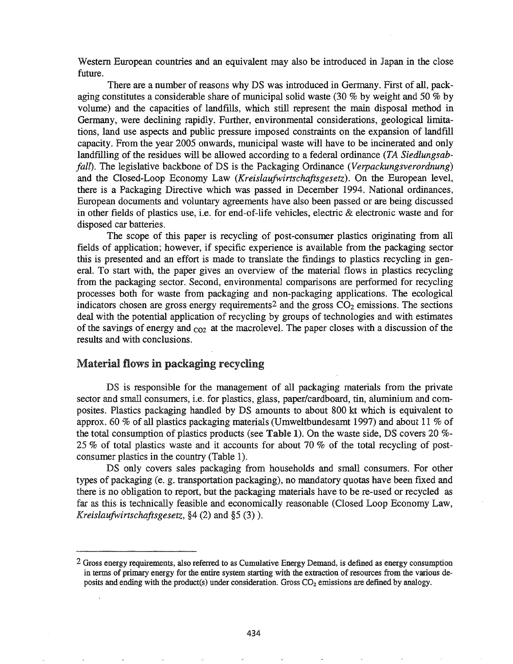Western European countries and an equivalent may also be introduced in Japan in the close future.

There are a number of reasons why DS was introduced in Germany. First of all, packaging constitutes a considerable share of municipal solid waste (30 % by weight and 50 % by volume) and the capacities of landfills, which still represent the main disposal method in Germany, were declining rapidly. Further, environmental considerations, geological limitations, land use aspects and public pressure imposed constraints on the expansion of landfIll capacity. From the year 2005 onwards, municipal waste will have to be incinerated and only landftlling of the residues will be allowed according to a federal ordinance *(TA Siedlungsabfall).* The legislative backbone of DS is the Packaging Ordinance *(Verpackungsverordnung)* and the Closed-Loop Economy Law *(Kreislaufwirtschaftsgesetz).* On the European level, there is a Packaging Directive which was passed in December 1994. National ordinances, European documents and voluntary agreements have also been passed or are being discussed in other fields of plastics use, i.e. for end-of-life vehicles, electric  $\&$  electronic waste and for disposed car batteries.

The scope of this paper is recycling of post-consumer plastics originating from all fields of application; however, if specific experience is available from the packaging sector this is presented and an effort is made to translate the findings to plastics recycling in general. To start with, the paper gives an overview of the material flows in plastics recycling from the packaging sector. Second, environmental comparisons are performed for recycling processes both for waste from packaging and non-packaging applications. The ecological indicators chosen are gross energy requirements<sup>2</sup> and the gross  $CO<sub>2</sub>$  emissions. The sections deal with the potential application of recycling by groups of technologies and with estimates of the savings of energy and  $_{\text{CO2}}$  at the macrolevel. The paper closes with a discussion of the results and with conclusions.

### Material flows in packaging recycling

DS is responsible for the management of all packaging materials from the private sector and small consumers, i.e. for plastics, glass, paper/cardboard, tin, aluminium and composites. Plastics packaging handled by DS amounts to about 800 kt which is equivalent to approx. 60 % of all plastics packaging materials (Umweltbundesamt 1997) and about 11 % of the total consumption of plastics products (see Table 1). On the waste side, DS covers 20 %- 25 % of total plastics waste and it accounts for about 70 % of the total recycling of postconsumer plastics in the country (Table 1).

DS only covers sales packaging from households and small consumers. For other types of packaging (e. g. transportation packaging), no mandatory quotas have been fixed and there is no obligation to report, but the packaging materials have to be re-used or recycled as far as this is technically feasible and economically reasonable (Closed Loop Economy Law, *Kreislaufwirtschaftsgesetz,* §4 (2) and §5 (3) ).

<sup>2</sup> Gross energy requirements, also referred to as Cumulative Energy Demand, is defined as energy consumption in terms of primary energy for the entire system starting with the extraction ofresources from the various deposits and ending with the product(s) under consideration. Gross  $CO<sub>2</sub>$  emissions are defined by analogy.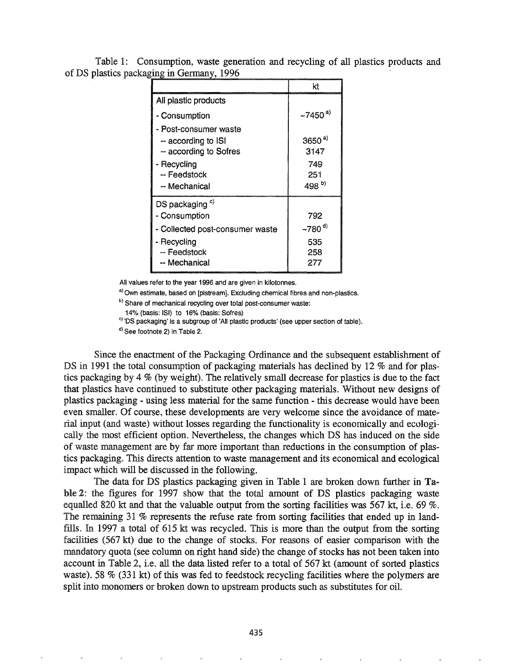|                                                                                                                               | kt                                                    |
|-------------------------------------------------------------------------------------------------------------------------------|-------------------------------------------------------|
| All plastic products                                                                                                          |                                                       |
| - Consumption                                                                                                                 | $~10^{-7}$ 450 $^{a)}$                                |
| Post-consumer waste<br>-- according to ISI<br>-- according to Sofres<br>- Recycling<br>-- Feedstock<br>-- Mechanical          | 3650 $a$ )<br>3147<br>749<br>251<br>498 <sup>b)</sup> |
| DS packaging <sup>c)</sup><br>- Consumption<br>Collected post-consumer waste<br>- Recycling<br>$-$ Feedstock<br>-- Mechanical | 792<br>$-780^{d}$<br>535<br>258<br>277                |

of DS plastics packaging in Germany, 1996 Table 1: Consumption, waste generation and recycling of all plastics products and

All values refer to the year 1996 and are given in kilotonnes.

<sup>a)</sup> Own estimate, based on [plstream]. Excluding chemical fibres and non-plastics.

b) Share of mechanical recycling over total post-consumer waste:

14% (basis: ISI) to 16% (basis: Sofres)

<sup>c)</sup> 'DS packaging' is a subgroup of 'All plastic products' (see upper section of table).

d) See footnote 2) in Table 2.

Since the enactment of the Packaging Ordinance and the subsequent establishment of DS in 1991 the total consumption of packaging materials has declined by 12  $\%$  and for plastics packaging by 4 % (by weight). The relatively small decrease for plastics is due to the fact that plastics have continued to substitute other packaging materials. Without new designs of plastics packaging - using less material for the same function - this decrease would have been even smaller. Of course, these developments are very welcome since the avoidance of material input (and waste) without losses regarding the functionality is economically and ecologically the most efficient option. Nevertheless, the changes which DS has induced on the side of waste management are by far more important than reductions in the consumption of plastics packaging. This directs attention to waste management and its economical and ecological impact which will be discussed in the following.

The data for DS plastics packaging given in Table 1 are broken down further in  $Ta$ ble 2: the figures for 1997 show that the total amount of DS plastics packaging waste equalled 820 kt and that the valuable output from the sorting facilities was 567 kt, i.e. 69 %. The remaining 31 % represents the refuse rate from sorting facilities that ended up in landfills. In 1997 a total of 615 kt was recycled. This is more than the output from the sorting facilities (567 kt) due to the change of stocks. For reasons of easier comparison with the mandatory quota (see column on right hand side) the change of stocks has not been taken into account in Table 2, i.e. all the data listed refer to a total of 567 kt (amount of sorted plastics waste). 58  $%$  (331 kt) of this was fed to feedstock recycling facilities where the polymers are split into monomers or broken down to upstream products such as substitutes for oil.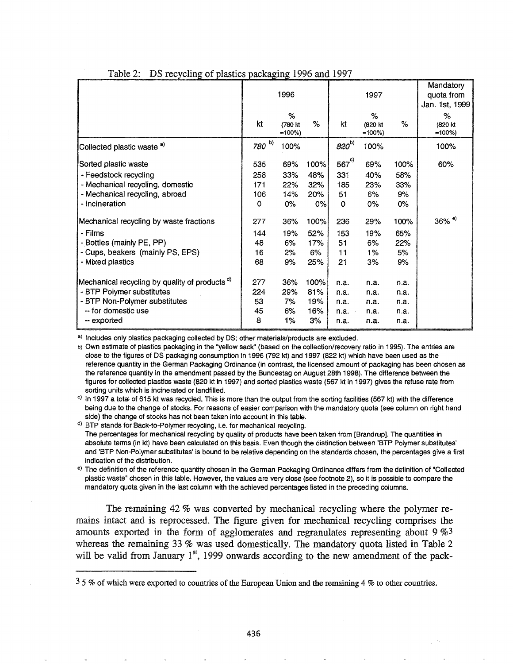|                                                           | 1996            |                         |      | 1997          |                         |      | Mandatory<br>quota from<br>Jan. 1st, 1999 |
|-----------------------------------------------------------|-----------------|-------------------------|------|---------------|-------------------------|------|-------------------------------------------|
|                                                           | kt              | %<br>(780 kt<br>$=100%$ | $\%$ | kt            | %<br>(820 kt<br>$=100%$ | ℅    | %<br>(820 kt<br>$=100%$                   |
| Collected plastic waste a)                                | 780 $^{\rm b)}$ | 100%                    |      | $820^{5}$     | 100%                    |      | 100%                                      |
| Sorted plastic waste                                      | 535             | 69%                     | 100% | $567^{\circ}$ | 69%                     | 100% | 60%                                       |
| - Feedstock recycling                                     | 258             | 33%                     | 48%  | 331           | 40%                     | 58%  |                                           |
| - Mechanical recycling, domestic                          | 171             | 22%                     | 32%  | 185           | 23%                     | 33%  |                                           |
| - Mechanical recycling, abroad                            | 106             | 14%                     | 20%  | 51            | 6%                      | 9%   |                                           |
| - Incineration                                            | 0               | 0%                      | 0%   | $\mathbf 0$   | 0%                      | 0%   |                                           |
| Mechanical recycling by waste fractions                   | 277             | 36%                     | 100% | 236           | 29%                     | 100% | $36\%$ <sup>e)</sup>                      |
| - Films                                                   | 144             | 19%                     | 52%  | 153           | 19%                     | 65%  |                                           |
| - Bottles (mainly PE, PP)                                 | 48              | 6%                      | 17%  | 51            | 6%                      | 22%  |                                           |
| - Cups, beakers (mainly PS, EPS)                          | 16              | 2%                      | 6%   | 11            | 1%                      | 5%   |                                           |
| - Mixed plastics                                          | 68              | 9%                      | 25%  | 21            | 3%                      | 9%   |                                           |
| Mechanical recycling by quality of products <sup>d)</sup> | 277             | 36%                     | 100% | n.a.          | n.a.                    | n.a. |                                           |
| - BTP Polymer substitutes                                 | 224             | 29%                     | 81%  | n.a.          | n.a.                    | n.a. |                                           |
| - BTP Non-Polymer substitutes                             | 53              | 7%                      | 19%  | n.a.          | n.a.                    | n.a. |                                           |
| -- for domestic use                                       | 45              | 6%                      | 16%  | n.a.          | n.a.                    | n.a. |                                           |
| -- exported                                               | 8               | 1%                      | 3%   | n.a.          | n.a.                    | n.a. |                                           |

#### Table 2: DS recycling of plastics packaging 1996 and 1997

a) Includes only plastics packaging collected by DS; other materials/products are excluded.

b) Own estimate of plastics packaging in the "yellow sack" (based on the collection/recovery ratio in 1995). The entries are close to the figures of DS packaging consumption in 1996 (792 kt) and 1997 (822 kt) which have been used as the reference quantity in the German Packaging Ordinance (in contrast, the licensed amount of packaging has been chosen as the reference quantity in the amendment passed by the Bundestag on August 28th 1998). The difference between the figures for collected plastics waste (820 kt in 1997) and sorted plastics waste (567 kt in 1997) gives the refuse rate from sorting units which is incinerated or landfilled.

c) In 1997 a total of 615 kt was recycled. This is more than the output from the sorting facilities (567 kt) with the difference being due to the change of stocks. For reasons of easier comparison with the mandatory quota (see column on right hand side) the change of stocks has not been taken into account in this table.

d) BTP stands for Back-to-Polymer recycling, i.e. for mechanical recycling. The percentages for mechanical recycling by quality of products have been taken from [Brandrup]. The quantities in absolute terms (in kt) have been calculated on this basis. Even though the distinction between 'BTP Polymer substitutes' and 'BTP Non-Polymer substitutes' is bound to be relative depending on the standards chosen, the percentages give a first indication of the distribution.

e) The definition of the reference quantity chosen in the German Packaging Ordinance differs from the definition of "Collected plastic waste" chosen in this table. However, the values are very close (see footnote 2), so it is possible to compare the mandatory quota given in the last column with the achieved percentages listed in the preceding columns.

The remaining 42 % was converted by mechanical recycling where the polymer remains intact and is reprocessed. The figure given for mechanical recycling comprises the amounts exported in the form of agglomerates and regranulates representing about 9  $\%$ <sup>3</sup> whereas the remaining 33 % was used domestically. The mandatory quota listed in Table 2 will be valid from January 1<sup>st</sup>, 1999 onwards according to the new amendment of the pack-

 $35\%$  of which were exported to countries of the European Union and the remaining 4 % to other countries.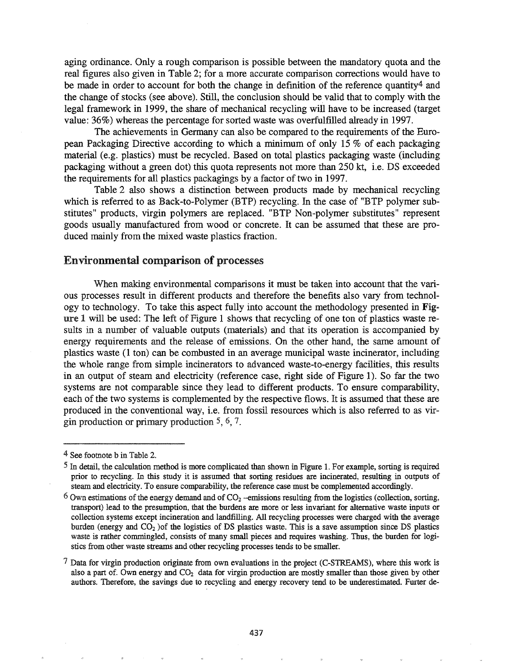aging ordinance. Only a rough comparison is possible between the mandatory quota and the real figures also given in Table 2; for a more accurate comparison corrections would have to be made in order to account for both the change in defmition of the reference quantity4 and the change of stocks (see above). Still, the conclusion should be valid that to comply with the legal framework in 1999, the share of mechanical recycling will have to be increased (target value: 36%) whereas the percentage for sorted waste was overfulfilled already in 1997.

The achievements in Germany can also be compared to the requirements of the European Packaging Directive according to which a minimum of only 15 % of each packaging material (e.g. plastics) must be recycled. Based on total plastics packaging waste (including packaging without a green dot) this quota represents not more than 250 kt, i.e. DS exceeded the requirements for all plastics packagings by a factor of two in 1997.

Table 2 also shows a distinction between products made by mechanical recycling which is referred to as Back-to-Polymer (BTP) recycling. In the case of "BTP polymer substitutes" products, virgin polymers are replaced. "BTP Non-polymer substitutes" represent goods usually manufactured from wood or concrete. It can be assumed that these are produced mainly from the mixed waste plastics fraction.

# Environmental comparison of processes

When making environmental comparisons it must be taken into account that the various processes result in different products and therefore the benefits also vary from technology to technology. To take this aspect fully into account the methodology presented in Figure 1 will be used: The left of Figure 1 shows that recycling of one ton of plastics waste results in a number of valuable outputs (materials) and that its operation is accompanied by energy requirements and the release of emissions. On the other hand, the same amount of plastics waste (1 ton) can be combusted in an average municipal waste incinerator, including the whole range from simple incinerators to advanced waste-to-energy facilities, this results in an output of steam and electricity (reference case, right side of Figure 1). So far the two systems are not comparable since they lead to different products. To ensure comparability, each of the two systems is complemented by the respective flows. It is assumed that these are produced in the conventional way, i.e. from fossil resources which is also referred to as virgin production or primary production 5, 6, 7.

<sup>4</sup> See footnote b in Table 2.

<sup>5</sup> In detail, the calculation method is more complicated than shown in Figure 1. For example, sorting is required prior to recycling. In this study it is assumed that sorting residues are incinerated, resulting in outputs of steam and electricity. To ensure comparability, the reference case must be complemented accordingly.

 $6$  Own estimations of the energy demand and of CO<sub>2</sub> -emissions resulting from the logistics (collection, sorting, transport) lead to the presumption, that the burdens are more or less invariant for alternative waste inputs or collection systems except incineration and landfilling. All recycling processes were charged with the average burden (energy and  $CO<sub>2</sub>$ ) of the logistics of DS plastics waste. This is a save assumption since DS plastics waste is rather commingled, consists of many small pieces and requires washing. Thus, the burden for logistics from other waste streams and other recycling processes tends to be smaller.

<sup>7</sup> Data for virgin production originate from own evaluations in the project (C-STREAMS), where this work is also a part of. Own energy and  $CO<sub>2</sub>$  data for virgin production are mostly smaller than those given by other authors. Therefore, the savings due to recycling and energy recovery tend to be underestimated. Furter de-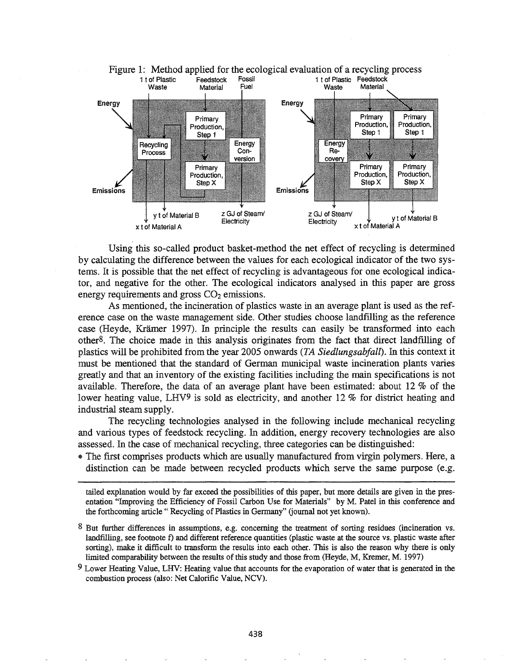

Using this so-called product basket-method the net effect of recycling is determined by calculating the difference between the values for each ecological indicator of the two systems. It is possible that the net effect of recycling is advantageous for one ecological indicator, and negative for the other. The ecological indicators analysed in this paper are gross energy requirements and gross  $CO<sub>2</sub>$  emissions.

As mentioned, the incineration of plastics waste in an average plant is used as the reference case on the waste management side. Other studies choose landfllling as the reference case (Heyde, Kramer 1997). In principle the results can easily be transfonned into each other8. The choice made in this analysis originates from the fact that direct landfilling of plastics will be prohibited from the year 2005 onwards *(TA Siedlungsabfall).* In this context it must be mentioned that the standard of German municipal waste incineration plants varies greatly and that an inventory of the existing facilities including the main specifications is not available. Therefore, the data of an average plant have been estimated: about 12 % of the lower heating value, LHV9 is sold as electricity, and another  $12\%$  for district heating and industrial steam supply.

The recycling technologies analysed in the following include mechanical recycling and various types of feedstock recycling. In addition, energy recovery technologies are also assessed. In the case of mechanical recycling, three categories can be distinguished:

• The first comprises products which are usually manufactured from virgin polymers. Here, a distinction can be made between recycled products which serve the same purpose (e.g.

tailed explanation would by far exceed the possibilities of this paper, but more details are given in the presentation "Improving the Efficiency of Fossil Carbon Use for Materials" by M. Patel in this conference and the forthcoming article "Recycling of Plastics in Germany" (journal not yet known).

<sup>8</sup> But further differences in assumptions, e.g. concerning the treatment of sorting residues (incineration vs. landfilling, see footnote f) and different reference quantities (plastic waste at the source vs. plastic waste after sorting), make it difficult to transform the results into each other. This is also the reason why there is only limited comparability between the results of this study and those from (Heyde, M, Kremer, M. 1997)

<sup>9</sup> Lower Heating Value, LHV: Heating value that accounts for the evaporation of water that is generated in the combustion process (also: Net Calorific Value, NCV).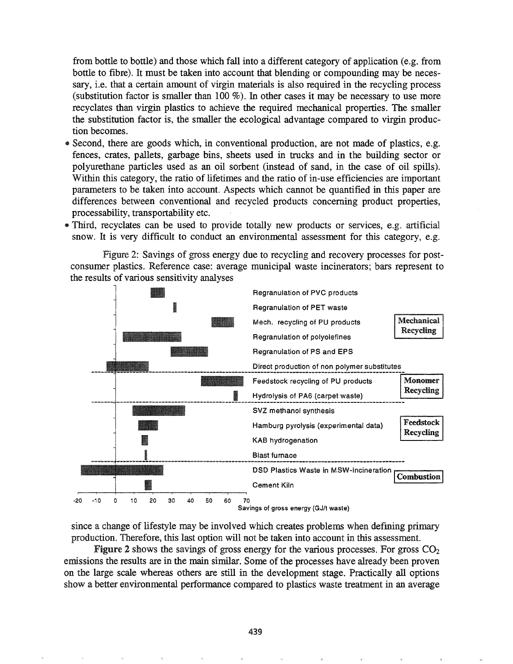from bottle to bottle) and those which fall into a different category of application (e.g. from bottle to fibre). It must be taken into account that blending or compounding may be necessary, i.e. that a certain amount of virgin materials is also required in the recycling process (substitution factor is smaller than 100 %). In other cases it may be necessary to use more recyclates than virgin plastics to achieve the required mechanical properties. The smaller the substitution factor is, the smaller the ecological advantage compared to virgin production becomes.

- Second, there are goods which, in conventional production, are not made of plastics, e.g. fences; crates, pallets, garbage bins, sheets used in trucks and in the building sector or polyurethane particles used as an oil sorbent (instead of sand, in the case of oil spills). Within this category, the ratio of lifetimes and the ratio of in-use efficiencies are important parameters to be taken into account. Aspects which cannot be quantified in this paper are differences between conventional and recycled products concerning product properties, processability, transportability etc.
- Third, recyclates can be used to provide totally new products or services, e.g. artificial snow. It is very difficult to conduct an environmental assessment for this category, e.g.

Figure 2: Savings of gross energy due to recycling and recovery processes for postconsumer plastics. Reference case: average municipal waste incinerators; bars represent to the results of various sensitivity analyses



since a change of lifestyle may be involved which creates problems when defming primary production. Therefore, this last option will not be taken into account in this assessment.

Figure 2 shows the savings of gross energy for the various processes. For gross  $CO<sub>2</sub>$ emissions the results are in the main similar. Some of the processes have already been proven on the large scale whereas others are still in the development stage. Practically all options show a better environmental performance compared to plastics waste treatment in an average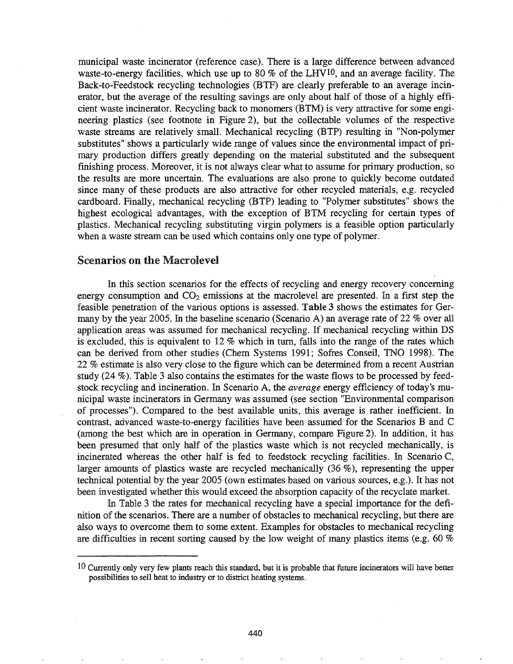municipal waste incinerator (reference case). There is a large difference between advanced waste-to-energy facilities, which use up to 80 % of the LHVIO, and an average facility. The Back-to-Feedstock recycling technologies (BTF) are clearly preferable to an average incinerator, but the average of the resulting savings are only about half of those of a highly efficient waste incinerator. Recycling back to monomers (BTM) is very attractive for some engineering plastics (see footnote in Figure 2), but the collectable volumes of the respective waste streams are relatively small. Mechanical recycling (BTP) resulting in "Non-polymer substitutes" shows a particularly wide range of values since the environmental impact of primary production differs greatly depending on the material substituted and the subsequent finishing process. Moreover, it is not always clear what to assume for primary production, so the results are more uncertain. The evaluations are also prone to quickly become outdated since many of these products are also attractive for other recycled materials, e.g. recycled cardboard. Finally, mechanical recycling (BTP) leading to "Polymer substitutes" shows the highest ecological advantages, with the exception of BTM recycling for certain types of plastics. Mechanical recycling substituting virgin polymers is a feasible option particularly when a waste stream can be used which contains only one type of polymer.

# Scenarios on the MacroleveI

In this section scenarios for the effects of recycling and energy recovery concerning energy consumption and  $CO<sub>2</sub>$  emissions at the macrolevel are presented. In a first step the feasible penetration of the various options is assessed. Table 3 shows the estimates for Germany by the year 2005. In the baseline scenario (Scenario A) an average rate of 22 % over all application areas was assumed for mechanical recycling. If mechanical recycling within DS is excluded, this is equivalent to 12 % which in tum, falls into the range of the rates which can be derived from other studies (Chern Systems 1991; Sofres Conseil, TNO 1998). The 22 % estimate is also very close to the figure which can be determined from a recent Austrian study (24 %). Table 3 also contains the estimates for the waste flows to be processed by feedstock recycling and incineration. In Scenario A, the *average* energy efficiency of today's municipal waste incinerators in Germany was assumed (see section "Environmental comparison of processes"). Compared to the best available units, this average is rather inefficient. In contrast, advanced waste-to-energy facilities have been assumed for the Scenarios B and C (among the best which are in operation in Germany, compare Figure 2). In addition, it has been presumed that only half of the plastics waste which is not recycled mechanically, is incinerated whereas the other half is fed to feedstock recycling facilities. In Scenario C, larger amounts of plastics waste are recycled mechanically  $(36\%)$ , representing the upper technical potential by the year 2005 (own estimates based on various sources, e.g.). It has not been investigated whether this would exceed the absorption capacity of the recyclate market.

In Table 3 the rates for mechanical recycling have a special importance for the definition of the scenarios. There are a number of obstacles to mechanical recycling, but there are also ways to overcome them to some extent. Examples for obstacles to mechanical recycling are difficulties in recent sorting caused by the low weight of many plastics items (e.g. 60 %

<sup>10</sup> Currently only very few plants reach this standard, but it is probable that future incinerators will have better possibilities to sell heat to industry or to district heating systems.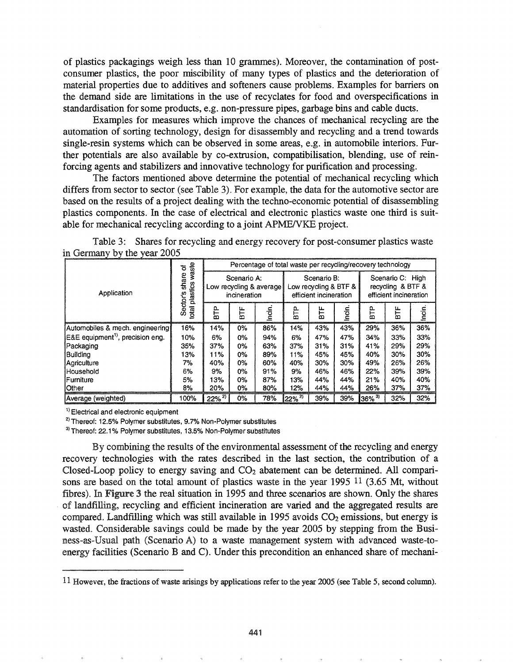of plastics packagings weigh less than 10 grammes). Moreover, the contamination of postconsumer plastics, the poor miscibility of many types of plastics and the deterioration of material properties due to additives and softeners cause problems. Examples for barriers on the demand side are limitations in the use of recyclates for food and overspecifications in standardisation for some products, e.g. non-pressure pipes, garbage bins and cable ducts.

Examples for measures which improve the chances of mechanical recycling are the automation of sorting technology, design for disassembly and recycling and a trend towards single-resin systems which can be observed in some areas, e.g. in automobile interiors. Further potentials are also available by co-extrusion, compatibilisation, blending, use of reinforcing agents and stabilizers and innovative technology for purification and processing.

The factors mentioned above determine the potential of mechanical recycling which differs from sector to sector (see Table 3). For example, the data for the automotive sector are based on the results of a project dealing with the techno-economic potential of disassembling plastics components. In the case of electrical and electronic plastics waste one third is suitable for mechanical recycling according to a joint APME/VKE project.

|                                              | waste<br>ъ<br>share<br>plastics<br>Sector's<br>total | Percentage of total waste per recycling/recovery technology |                |           |                                                                |                |        |                                                                 |     |        |
|----------------------------------------------|------------------------------------------------------|-------------------------------------------------------------|----------------|-----------|----------------------------------------------------------------|----------------|--------|-----------------------------------------------------------------|-----|--------|
| Application                                  |                                                      | Scenano A:<br>Low recycling & average<br>incineration       |                |           | Scenario B:<br>Low recycling & BTF &<br>efficient incineration |                |        | Scenario C: High<br>recycling & BTF &<br>efficient incineration |     |        |
|                                              |                                                      | 91b                                                         | $\frac{1}{10}$ | indi<br>E | 915<br>B                                                       | $\overline{5}$ | Incin. | n<br>B                                                          | ΕĒ  | Incin. |
| Automobiles & mech. engineering              | 16%                                                  | 14%                                                         | 0%             | 86%       | 14%                                                            | 43%            | 43%    | 29%                                                             | 36% | 36%    |
| E&E equipment <sup>1)</sup> , precision eng. | 10%                                                  | 6%                                                          | 0%             | 94%       | 6%                                                             | 47%            | 47%    | 34%                                                             | 33% | 33%    |
| Packaging                                    | 35%                                                  | 37%                                                         | 0%             | 63%       | 37%                                                            | 31%            | 31%    | 41%                                                             | 29% | 29%    |
| <b>Buildina</b>                              | 13%                                                  | 11%                                                         | 0%             | 89%       | 11%                                                            | 45%            | 45%    | 40%                                                             | 30% | 30%    |
| <b>Aariculture</b>                           | 7%                                                   | 40%                                                         | 0%             | 60%       | 40%                                                            | 30%            | 30%    | 49%                                                             | 26% | 26%    |
| <b>Household</b>                             | 6%                                                   | 9%                                                          | 0%             | 91%       | 9%                                                             | 46%            | 46%    | 22%                                                             | 39% | 39%    |
| <b>IFurniture</b>                            | 5%                                                   | 13%                                                         | 0%             | 87%       | 13%                                                            | 44%            | 44%    | 21%                                                             | 40% | 40%    |
| <b>Other</b>                                 | 8%                                                   | 20%                                                         | 0%             | 80%       | 12%                                                            | 44%            | 44%    | 26%                                                             | 37% | 37%    |
| Average (weighted)                           | 100%                                                 | $22\%^{27}$                                                 | 0%             | 78%       | $122\%$ <sup>2)</sup>                                          | 39%            | 39%    | $36\%$ <sup>3)</sup>                                            | 32% | 32%    |

Table 3: Shares for recycling and energy recovery for post-consumer plastics waste in Germany by the year 2005

<sup>1)</sup> Electrical and electronic equipment

<sup>2)</sup> Thereof: 12.5% Polymer substitutes, 9.7% Non-Polymer substitutes

<sup>3)</sup> Thereof: 22.1% Polymer substitutes, 13.5% Non-Polymer substitutes

By combining the results of the environmental assessment of the recycling and energy recovery technologies with the rates described in the last section, the contribution of a Closed-Loop policy to energy saving and  $CO<sub>2</sub>$  abatement can be determined. All comparisons are based on the total amount of plastics waste in the year 1995 11 (3.65 Mt, without fibres). In Figure 3 the real situation in 1995 and three scenarios are shown. Only the shares of landfilling, recycling and efficient incineration are varied and the aggregated results are compared. Landfilling which was still available in 1995 avoids  $CO<sub>2</sub>$  emissions, but energy is wasted. Considerable savings could be made by the year 2005 by stepping from the Business-as-Usual path (Scenario A) to a waste management system with advanced waste-toenergy facilities (Scenario B and C). Under this precondition an enhanced share of mechani-

<sup>11</sup> However, the fractions of waste arisings by applications refer to the year 2005 (see Table 5, second column).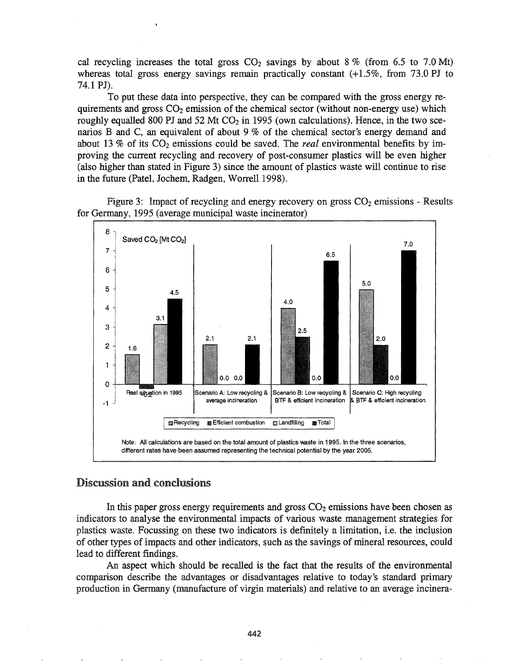cal recycling increases the total gross  $CO<sub>2</sub>$  savings by about 8 % (from 6.5 to 7.0 Mt) whereas total gross energy savings remain practically constant (+1.5%, from 73.0 *PI* to 74.1 PJ).

To put these data into perspective, they can be compared with the gross energy requirements and gross  $CO<sub>2</sub>$  emission of the chemical sector (without non-energy use) which roughly equalled 800 PJ and 52 Mt  $CO<sub>2</sub>$  in 1995 (own calculations). Hence, in the two scenarios B and C, an equivalent of about 9 % of the chemical sector's energy demand and about 13 % of its  $CO_2$  emissions could be saved. The *real* environmental benefits by improving the current recycling and recovery of post-consumer plastics will be even higher (also higher than stated in Figure 3) since the amount of plastics waste will continue to rise in the future (Patel, Jochem, Radgen, Worrell 1998).

Figure 3: Impact of recycling and energy recovery on gross  $CO<sub>2</sub>$  emissions - Results for Germany, 1995 (average municipal waste incinerator)



# Discussion and conclusions

In this paper gross energy requirements and gross  $CO<sub>2</sub>$  emissions have been chosen as indicators to analyse the environmental impacts of various waste management strategies for plastics waste. Focussing on these two indicators is definitely a limitation, i.e. the inclusion of other types of impacts and other indicators, such as the savings of mineral resources, could lead to different findings.

An aspect which should be recalled is the fact that the results of the environmental comparison describe the advantages or disadvantages relative to today's standard primary production in Germany (manufacture of virgin materials) and relative to an average incinera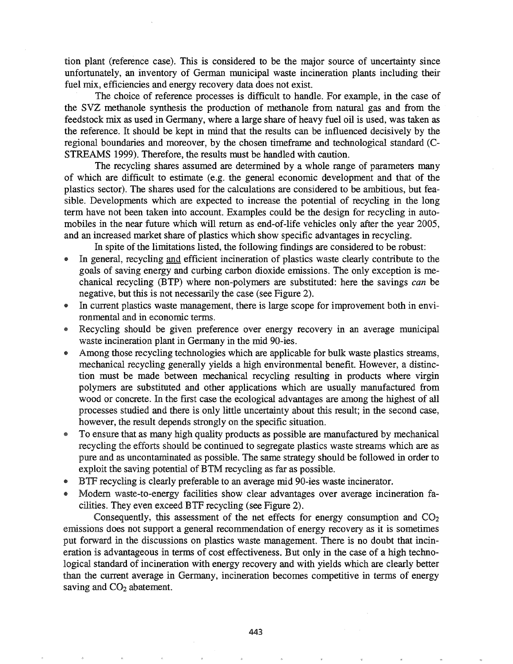tion plant (reference case). This is considered to be the major source of uncertainty since unfortunately, an inventory of German municipal waste incineration plants including their fuel mix, efficiencies and energy recovery data does not exist.

The choice of reference processes is difficult to handle. For example, in the case of the SVZ methanole synthesis the production of methanole from natural gas and from the feedstock mix as used in Germany, where a large share of heavy fuel oil is used, was taken as the reference. It should be kept in mind that the results can be influenced decisively by the regional boundaries and moreover, by the chosen timeframe and technological standard (C-STREAMS 1999). Therefore, the results must be handled with caution.

The recycling shares assumed are determined by a whole range of parameters many of which are difficult to estimate (e.g. the general economic development and that of the plastics sector). The shares used for the calculations are considered to be ambitious, but feasible. Developments which are expected to increase the potential of recycling in the long term have not been taken into account. Examples could be the design for recycling in automobiles in the near future which will return as end-of-life vehicles only after the year 2005, and an increased market share of plastics which show specific advantages in recycling.

In spite of the limitations listed, the following findings are considered to be robust:

- In general, recycling and efficient incineration of plastics waste clearly contribute to the goals of saving energy and curbing carbon dioxide emissions. The only exception is mechanical recycling (BTP) where non-polymers are substituted: here the savings *can* be negative, but this is not necessarily the case (see Figure 2).
- In current plastics waste management, there is large scope for improvement both in environmental and in economic terms.
- @ Recycling should be given preference over energy recovery in an average municipal waste incineration plant in Germany in the mid 90.-ies.
- Among those recycling technologies which are applicable for bulk waste plastics streams, mechanical recycling generally yields a high environmental benefit. However, a distinction must be made between mechanical recycling resulting in products where virgin polymers are substituted and other applications which are usually manufactured from wood or concrete. In the first case the ecological advantages are among the highest of all processes studied and there is only little uncertainty about this result; in the second case, however, the result depends strongly on the specific situation.
- To ensure that as many high quality products as possible are manufactured by mechanical recycling the efforts should be continued to segregate plastics waste streams which are as pure and as uncontaminated as possible. The same strategy should be followed in order to exploit the saving potential of BTM recycling as far as possible.
- BTF recycling is clearly preferable to an average mid 90-ies waste incinerator.
- Modern waste-to-energy facilities show clear advantages over average incineration facilities. They even exceed BTF recycling (see Figure 2).

Consequently, this assessment of the net effects for energy consumption and  $CO<sub>2</sub>$ emissions does not support a general recommendation of energy recovery as it is sometimes put forward in the discussions on plastics waste management. There is no doubt that incineration is advantageous in terms of cost effectiveness. But only in the case of a high technological standard of incineration with energy recovery and with yields which are clearly better than the current average in Germany, incineration becomes competitive in terms of energy saving and  $CO<sub>2</sub>$  abatement.